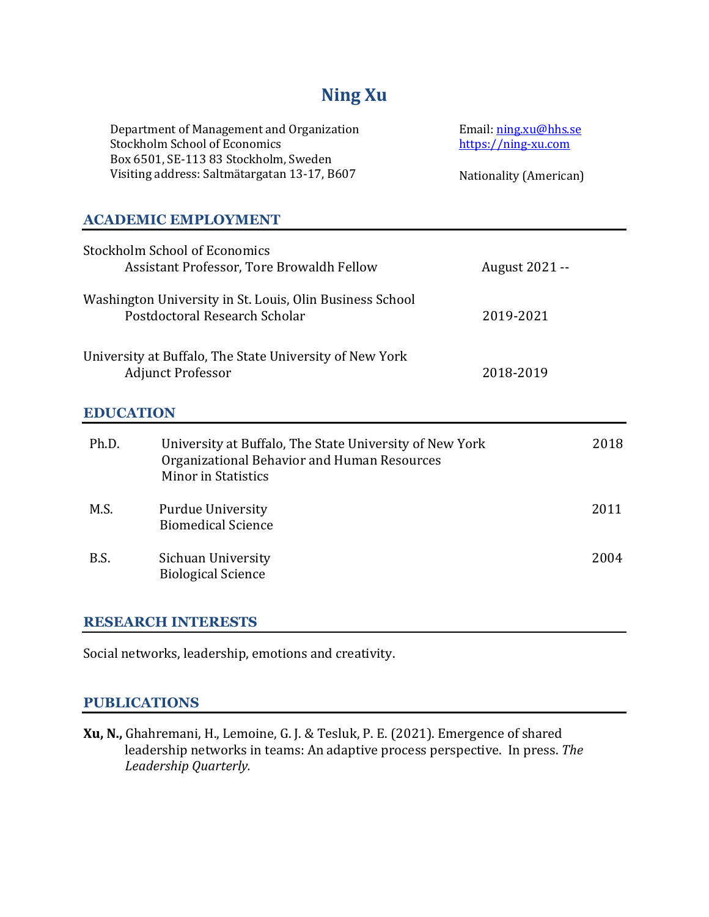# **Ning Xu**

| Department of Management and Organization    | Email: ning.xu@hhs.se  |
|----------------------------------------------|------------------------|
| Stockholm School of Economics                | https://ning-xu.com    |
| Box 6501, SE-113 83 Stockholm, Sweden        |                        |
| Visiting address: Saltmätargatan 13-17, B607 | Nationality (American) |

# **ACADEMIC EMPLOYMENT**

|                  | Stockholm School of Economics<br>Assistant Professor, Tore Browaldh Fellow                                                           | August 2021 -- |      |
|------------------|--------------------------------------------------------------------------------------------------------------------------------------|----------------|------|
|                  | Washington University in St. Louis, Olin Business School<br>Postdoctoral Research Scholar                                            | 2019-2021      |      |
|                  | University at Buffalo, The State University of New York<br><b>Adjunct Professor</b>                                                  | 2018-2019      |      |
| <b>EDUCATION</b> |                                                                                                                                      |                |      |
| Ph.D.            | University at Buffalo, The State University of New York<br>Organizational Behavior and Human Resources<br><b>Minor in Statistics</b> |                | 2018 |
| M.S.             | <b>Purdue University</b><br><b>Biomedical Science</b>                                                                                |                | 2011 |
| B.S.             | Sichuan University<br><b>Biological Science</b>                                                                                      |                | 2004 |

## **RESEARCH INTERESTS**

Social networks, leadership, emotions and creativity.

#### **PUBLICATIONS**

**Xu, N.,** Ghahremani, H., Lemoine, G. J. & Tesluk, P. E. (2021). Emergence of shared leadership networks in teams: An adaptive process perspective. In press. The *Leadership Quarterly.*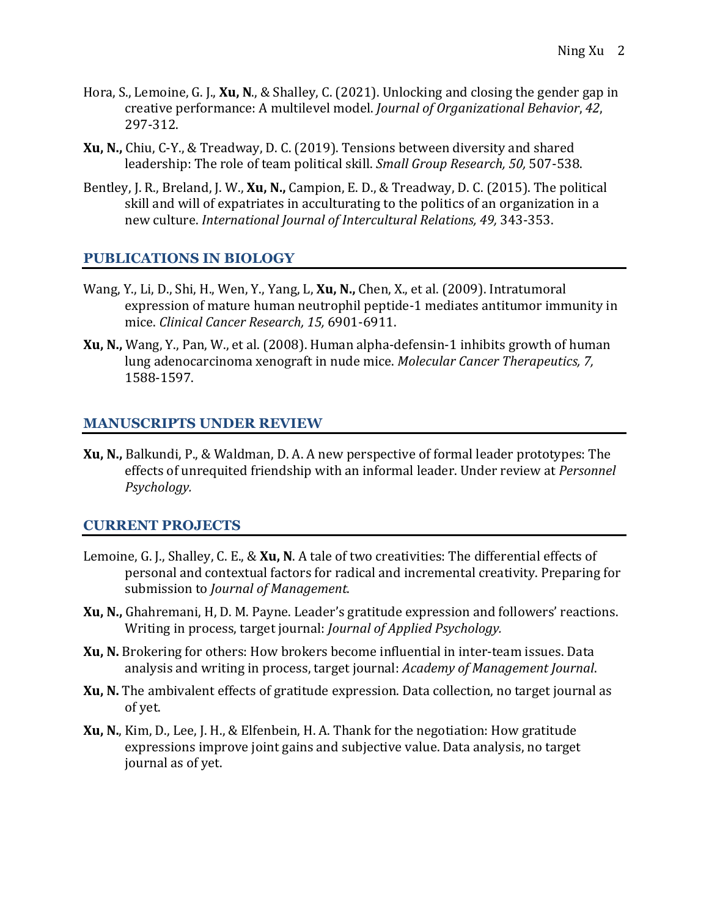- Hora, S., Lemoine, G. J., Xu, N., & Shalley, C. (2021). Unlocking and closing the gender gap in creative performance: A multilevel model. *Journal of Organizational Behavior*, 42, 297-312.
- **Xu, N.,** Chiu, C-Y., & Treadway, D. C. (2019). Tensions between diversity and shared leadership: The role of team political skill. *Small Group Research, 50,* 507-538.
- Bentley, J. R., Breland, J. W., **Xu, N.,** Campion, E. D., & Treadway, D. C. (2015). The political skill and will of expatriates in acculturating to the politics of an organization in a new culture. *International Journal of Intercultural Relations, 49, 343-353.*

# **PUBLICATIONS IN BIOLOGY**

- Wang, Y., Li, D., Shi, H., Wen, Y., Yang, L. Xu, N., Chen, X., et al. (2009). Intratumoral expression of mature human neutrophil peptide-1 mediates antitumor immunity in mice. *Clinical Cancer Research, 15,* 6901-6911.
- **Xu, N.,** Wang, Y., Pan, W., et al. (2008). Human alpha-defensin-1 inhibits growth of human lung adenocarcinoma xenograft in nude mice. *Molecular Cancer Therapeutics, 7,* 1588-1597.

## **MANUSCRIPTS UNDER REVIEW**

**Xu, N.,** Balkundi, P., & Waldman, D. A. A new perspective of formal leader prototypes: The effects of unrequited friendship with an informal leader. Under review at *Personnel Psychology.*

#### **CURRENT PROJECTS**

- Lemoine, G. J., Shalley, C. E., & **Xu, N**. A tale of two creativities: The differential effects of personal and contextual factors for radical and incremental creativity. Preparing for submission to *Journal of Management*.
- **Xu, N.,** Ghahremani, H, D. M. Payne. Leader's gratitude expression and followers' reactions. Writing in process, target journal: *Journal of Applied Psychology.*
- **Xu, N.** Brokering for others: How brokers become influential in inter-team issues. Data analysis and writing in process, target journal: *Academy of Management Journal*.
- **Xu, N.** The ambivalent effects of gratitude expression. Data collection, no target journal as of yet.
- **Xu, N.**, Kim, D., Lee, J. H., & Elfenbein, H. A. Thank for the negotiation: How gratitude expressions improve joint gains and subjective value. Data analysis, no target journal as of yet.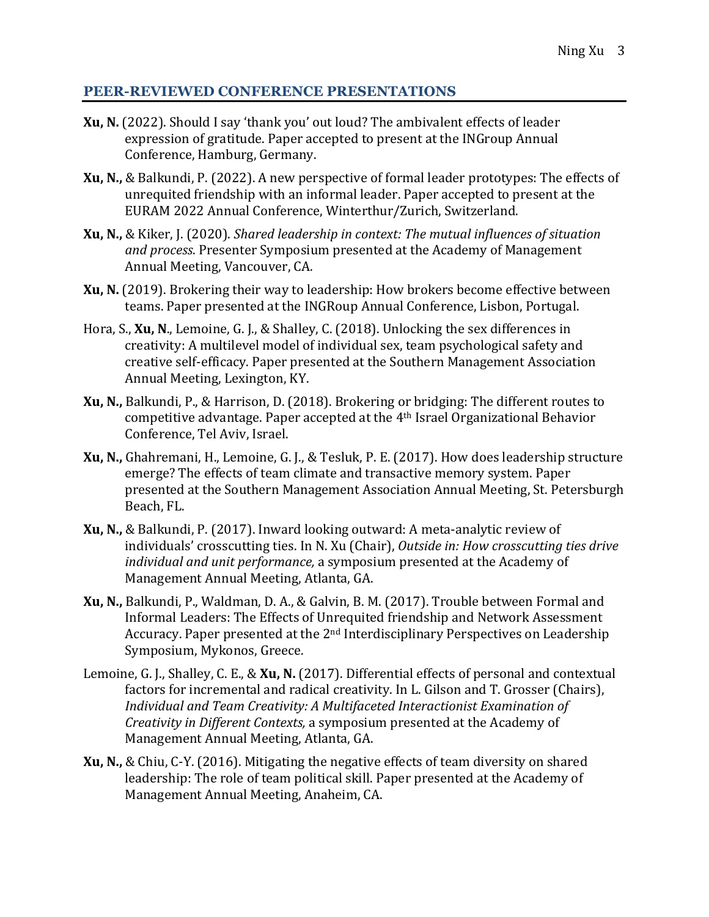#### **PEER-REVIEWED CONFERENCE PRESENTATIONS**

- **Xu, N.** (2022). Should I say 'thank you' out loud? The ambivalent effects of leader expression of gratitude. Paper accepted to present at the INGroup Annual Conference, Hamburg, Germany.
- **Xu, N.,** & Balkundi, P. (2022). A new perspective of formal leader prototypes: The effects of unrequited friendship with an informal leader. Paper accepted to present at the EURAM 2022 Annual Conference, Winterthur/Zurich, Switzerland.
- **Xu, N.,** & Kiker, J. (2020). *Shared leadership in context: The mutual influences of situation* and process. Presenter Symposium presented at the Academy of Management Annual Meeting, Vancouver, CA.
- **Xu, N.** (2019). Brokering their way to leadership: How brokers become effective between teams. Paper presented at the INGRoup Annual Conference, Lisbon, Portugal.
- Hora, S., **Xu, N.**, Lemoine, G. J., & Shalley, C. (2018). Unlocking the sex differences in creativity: A multilevel model of individual sex, team psychological safety and creative self-efficacy. Paper presented at the Southern Management Association Annual Meeting, Lexington, KY.
- **Xu, N.,** Balkundi, P., & Harrison, D. (2018). Brokering or bridging: The different routes to competitive advantage. Paper accepted at the 4<sup>th</sup> Israel Organizational Behavior Conference, Tel Aviv, Israel.
- **Xu, N.,** Ghahremani, H., Lemoine, G. J., & Tesluk, P. E. (2017). How does leadership structure emerge? The effects of team climate and transactive memory system. Paper presented at the Southern Management Association Annual Meeting, St. Petersburgh Beach, FL.
- **Xu, N.,** & Balkundi, P. (2017). Inward looking outward: A meta-analytic review of individuals' crosscutting ties. In N. Xu (Chair), *Outside in: How crosscutting ties drive individual and unit performance*, a symposium presented at the Academy of Management Annual Meeting, Atlanta, GA.
- **Xu, N.,** Balkundi, P., Waldman, D. A., & Galvin, B. M. (2017). Trouble between Formal and Informal Leaders: The Effects of Unrequited friendship and Network Assessment Accuracy. Paper presented at the  $2<sup>nd</sup>$  Interdisciplinary Perspectives on Leadership Symposium, Mykonos, Greece.
- Lemoine, G. J., Shalley, C. E., & **Xu, N.** (2017). Differential effects of personal and contextual factors for incremental and radical creativity. In L. Gilson and T. Grosser (Chairs), Individual and Team Creativity: A Multifaceted Interactionist Examination of *Creativity in Different Contexts,* a symposium presented at the Academy of Management Annual Meeting, Atlanta, GA.
- **Xu, N.,** & Chiu, C-Y. (2016). Mitigating the negative effects of team diversity on shared leadership: The role of team political skill. Paper presented at the Academy of Management Annual Meeting, Anaheim, CA.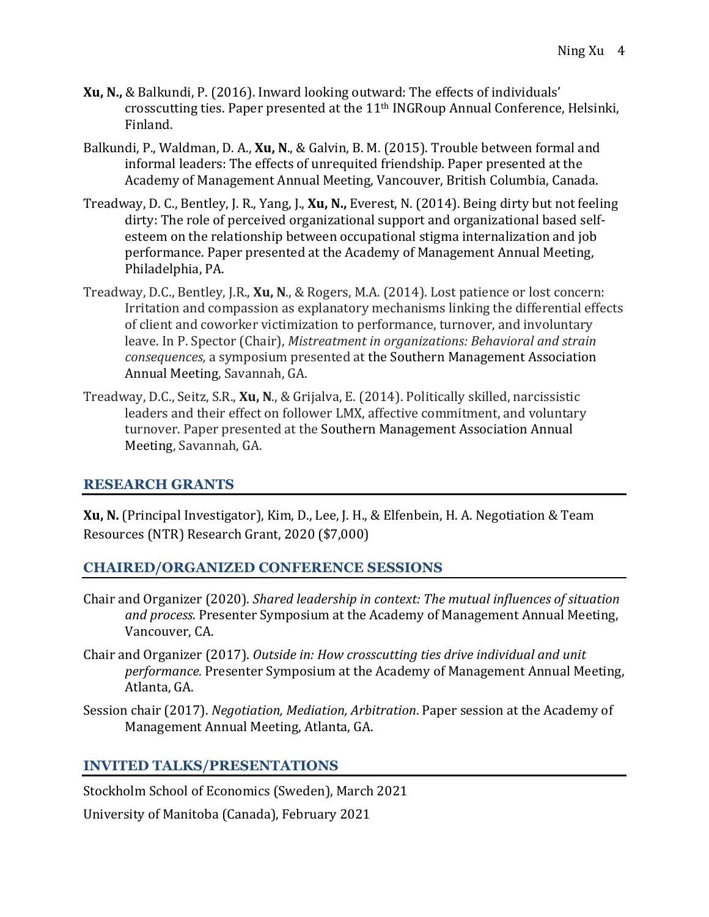- **Xu, N.,** & Balkundi, P. (2016). Inward looking outward: The effects of individuals' crosscutting ties. Paper presented at the  $11<sup>th</sup>$  INGRoup Annual Conference, Helsinki, Finland.
- Balkundi, P., Waldman, D. A., **Xu, N.**, & Galvin, B. M. (2015). Trouble between formal and informal leaders: The effects of unrequited friendship. Paper presented at the Academy of Management Annual Meeting, Vancouver, British Columbia, Canada.
- Treadway, D. C., Bentley, J. R., Yang, J., Xu, N., Everest, N. (2014). Being dirty but not feeling dirty: The role of perceived organizational support and organizational based selfesteem on the relationship between occupational stigma internalization and job performance. Paper presented at the Academy of Management Annual Meeting, Philadelphia, PA.
- Treadway, D.C., Bentley, J.R., **Xu, N.**, & Rogers, M.A. (2014). Lost patience or lost concern: Irritation and compassion as explanatory mechanisms linking the differential effects of client and coworker victimization to performance, turnover, and involuntary leave. In P. Spector (Chair), *Mistreatment in organizations: Behavioral and strain consequences,* a symposium presented at the Southern Management Association Annual Meeting, Savannah, GA.
- Treadway, D.C., Seitz, S.R., **Xu, N.**, & Grijalva, E. (2014). Politically skilled, narcissistic leaders and their effect on follower LMX, affective commitment, and voluntary turnover. Paper presented at the Southern Management Association Annual Meeting, Savannah, GA.

## **RESEARCH GRANTS**

**Xu, N.** (Principal Investigator), Kim, D., Lee, J. H., & Elfenbein, H. A. Negotiation & Team Resources (NTR) Research Grant, 2020 (\$7,000)

## **CHAIRED/ORGANIZED CONFERENCE SESSIONS**

- Chair and Organizer (2020). *Shared leadership in context: The mutual influences of situation* and process. Presenter Symposium at the Academy of Management Annual Meeting, Vancouver, CA.
- Chair and Organizer (2017). *Outside in: How crosscutting ties drive individual and unit performance.* Presenter Symposium at the Academy of Management Annual Meeting, Atlanta, GA.
- Session chair (2017). *Negotiation, Mediation, Arbitration*. Paper session at the Academy of Management Annual Meeting, Atlanta, GA.

## **INVITED TALKS/PRESENTATIONS**

Stockholm School of Economics (Sweden), March 2021

University of Manitoba (Canada), February 2021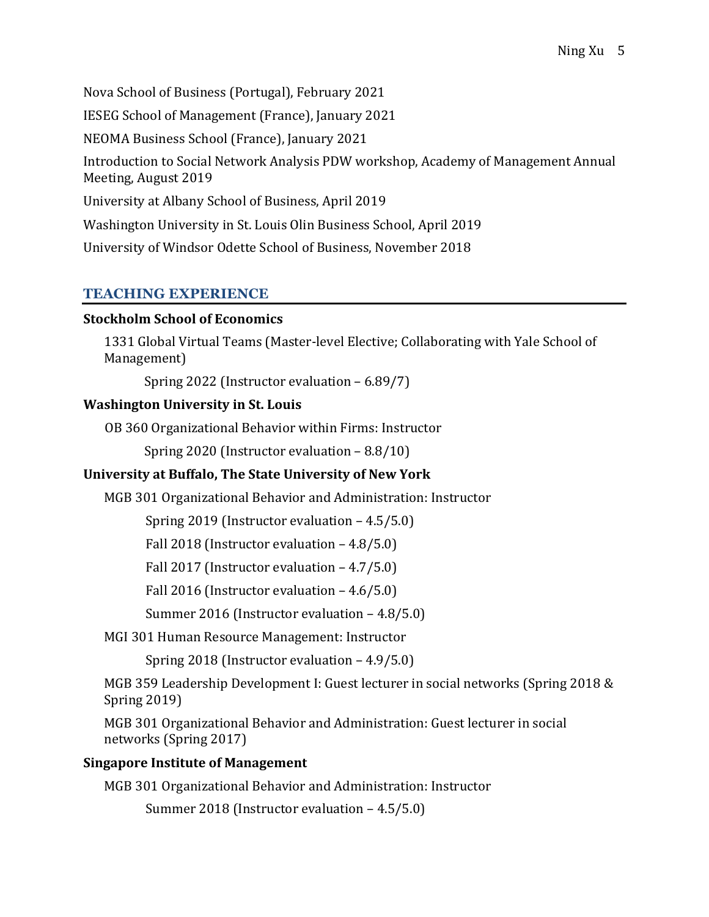Nova School of Business (Portugal), February 2021 IESEG School of Management (France), January 2021 NEOMA Business School (France), January 2021 Introduction to Social Network Analysis PDW workshop, Academy of Management Annual Meeting, August 2019 University at Albany School of Business, April 2019 Washington University in St. Louis Olin Business School, April 2019 University of Windsor Odette School of Business, November 2018

# **TEACHING EXPERIENCE**

## **Stockholm School of Economics**

1331 Global Virtual Teams (Master-level Elective; Collaborating with Yale School of Management)

Spring 2022 (Instructor evaluation  $-6.89/7$ )

# **Washington University in St. Louis**

OB 360 Organizational Behavior within Firms: Instructor

Spring 2020 (Instructor evaluation  $-8.8/10$ )

# **University at Buffalo, The State University of New York**

MGB 301 Organizational Behavior and Administration: Instructor

Spring  $2019$  (Instructor evaluation  $-4.5/5.0$ )

Fall  $2018$  (Instructor evaluation  $-4.8/5.0$ )

Fall  $2017$  (Instructor evaluation  $-4.7/5.0$ )

Fall 2016 (Instructor evaluation  $-4.6/5.0$ )

Summer 2016 (Instructor evaluation  $-4.8/5.0$ )

MGI 301 Human Resource Management: Instructor

Spring  $2018$  (Instructor evaluation  $-4.9/5.0$ )

MGB 359 Leadership Development I: Guest lecturer in social networks (Spring 2018 & Spring 2019)

MGB 301 Organizational Behavior and Administration: Guest lecturer in social networks (Spring 2017)

# **Singapore Institute of Management**

MGB 301 Organizational Behavior and Administration: Instructor

Summer 2018 (Instructor evaluation  $-4.5/5.0$ )